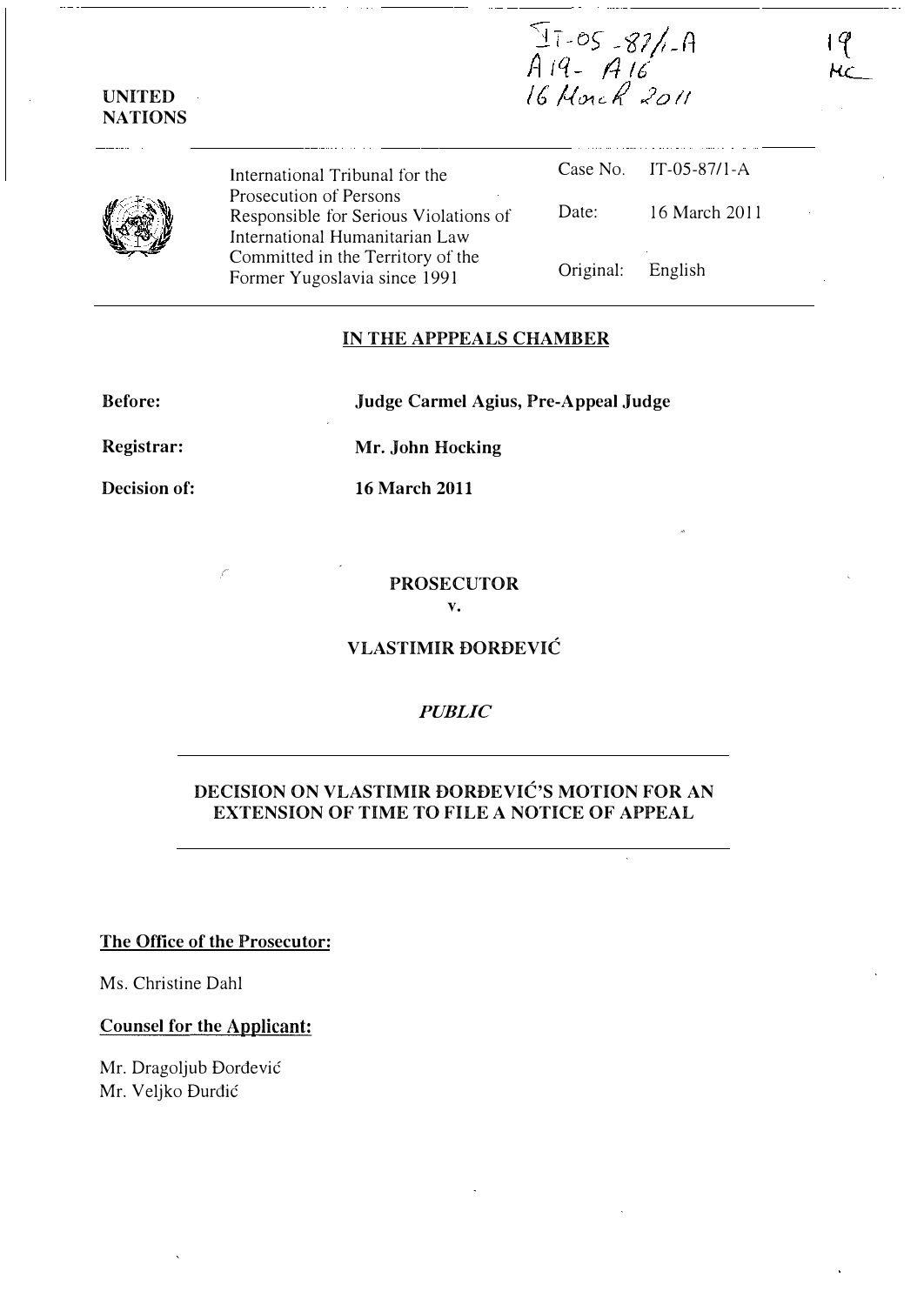$\frac{97.05-87/1.0}{9.19-9.16}$ 16 Morch 2011

|--|

UNITED NATIONS

> International Tribunal for the Prosecution of Persons Responsible for Serious Violations of International Humanitarian Law Committed in the Territory of the Former Yugoslavia since 1991 Case No. IT-05-87/l-A Date: 16 March 2011 Original: English

### IN THE APPPEALS CHAMBER

Before:

Judge Carmel Agius, Pre-Appeal Judge

Registrar:

Decision of:

16 March 2011

Mr. John Hocking

#### PROSECUTOR v.

VLASTIMIR DORDEVIC

## **PUBLIC**

# DECISION ON VLASTIMIR DORDEVIC'S MOTION FOR AN EXTENSION OF TIME TO FILE A NOTICE OF APPEAL

The Office of the Prosecutor:

.r

Ms. Christine Dahl

### Counsel for the Applicant:

Mr. Dragoljub Dordevic Mr. Veljko Durdic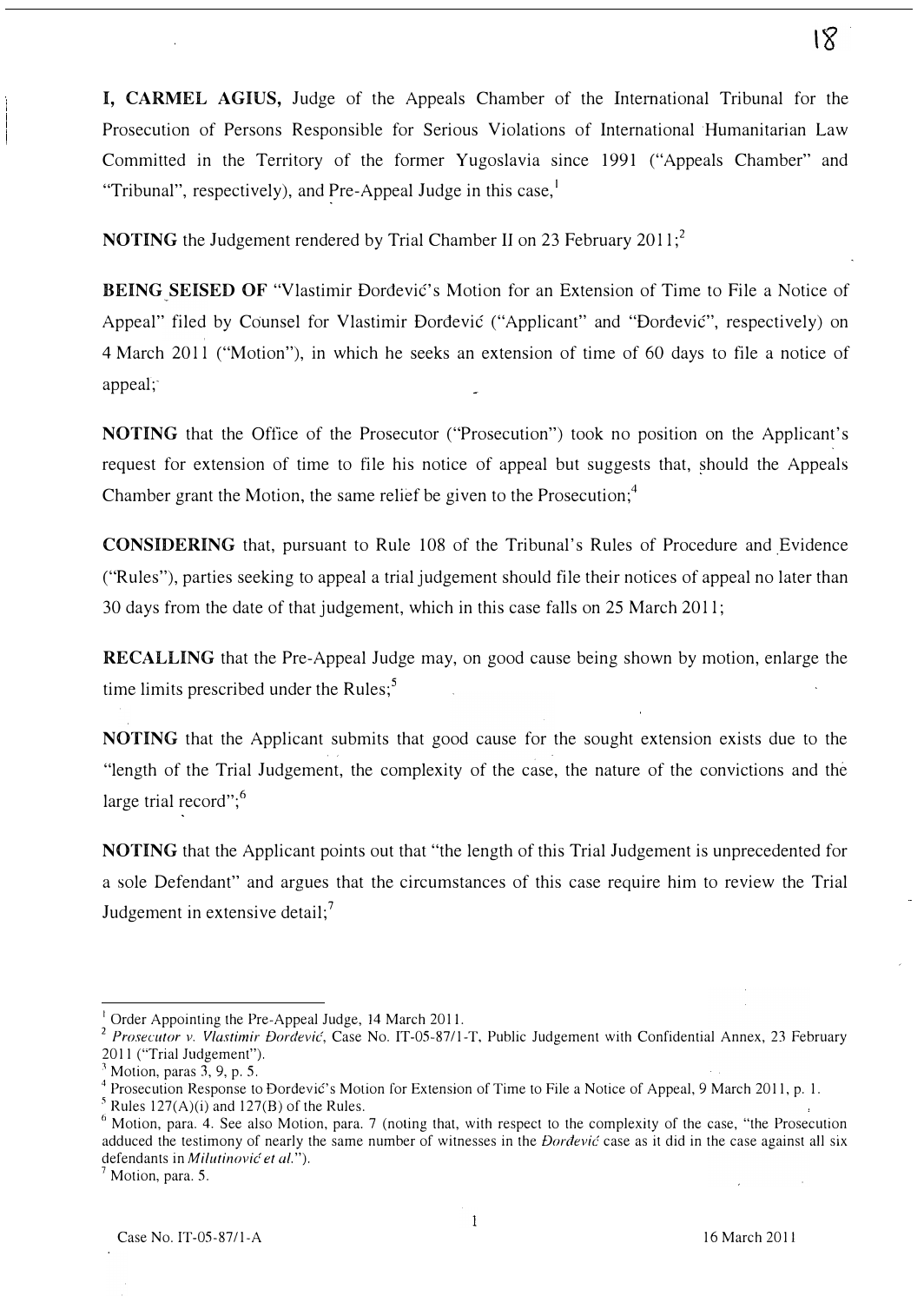I, CARMEL AGIUS, Judge of the Appeals Chamber of the International Tribunal for the Prosecution of Persons Responsible for Serious Violations of International Humanitarian Law Committed in the Territory of the former Yugoslavia since 1991 ("Appeals Chamber" and "Tribunal", respectively), and Pre-Appeal Judge in this case, $\frac{1}{1}$ 

NOTING the Judgement rendered by Trial Chamber II on 23 February 2011:<sup>2</sup>

BEING SEISED OF "Vlastimir Đorđević's Motion for an Extension of Time to File a Notice of Appeal" filed by Counsel for Vlastimir Đorđević ("Applicant" and "Đorđević", respectively) on 4 March 2011 ("Motion"), in which he seeks an extension of time of 60 days to file a notice of  $appeak;$ 

NOTING that the Office of the Prosecutor ("Prosecution") took no position on the Applicant's request for extension of time to file his notice of appeal but suggests that, should the Appeals Chamber grant the Motion, the same relief be given to the Prosecution; $<sup>4</sup>$ </sup>

CONSIDERING that, pursuant to Rule 108 of the Tribunal's Rules of Procedure and Evidence ("Rules"), parties seeking to appeal a trial judgement should file their notices of appeal no later than 30 days from the date of that judgement, which in this case falls on 25 March 2011;

RECALLING that the Pre-Appeal Judge may, on good cause being shown by motion, enlarge the time limits prescribed under the Rules; $<sup>5</sup>$ </sup>

NOTING that the Applicant submits that good cause for the sought extension exists due to the "length of the Trial Judgement, the complexity of the case, the nature of the convictions and the large trial record";<sup>6</sup>

NOTING that the Applicant points out that "the length of this Trial Judgement is unprecedented for a sole Defendant" and argues that the circumstances of this case require him to review the Trial Judgement in extensive detail; $<sup>7</sup>$ </sup>

Order Appointing the Pre-Appeal Judge, 14 March 2011.

<sup>&</sup>lt;sup>2</sup> Prosecutor v. Vlastimir Đorđević, Case No. IT-05-87/1-T, Public Judgement with Confidential Annex, 23 February 2011 ("Trial Judgement").

Motion, paras  $3, 9, p. 5$ .

<sup>&</sup>lt;sup>4</sup> Prosecution Response to Đorđević's Motion for Extension of Time to File a Notice of Appeal, 9 March 2011, p. 1.

 $<sup>5</sup>$  Rules 127(A)(i) and 127(B) of the Rules.</sup>

 $6$  Motion, para. 4. See also Motion, para. 7 (noting that, with respect to the complexity of the case, "the Prosecution adduced the testimony of nearly the same number of witnesses in the *Dordevic* case as it did in the case against all six defendants in *Milutinović et al.*").

 $<sup>7</sup>$  Motion, para. 5.</sup>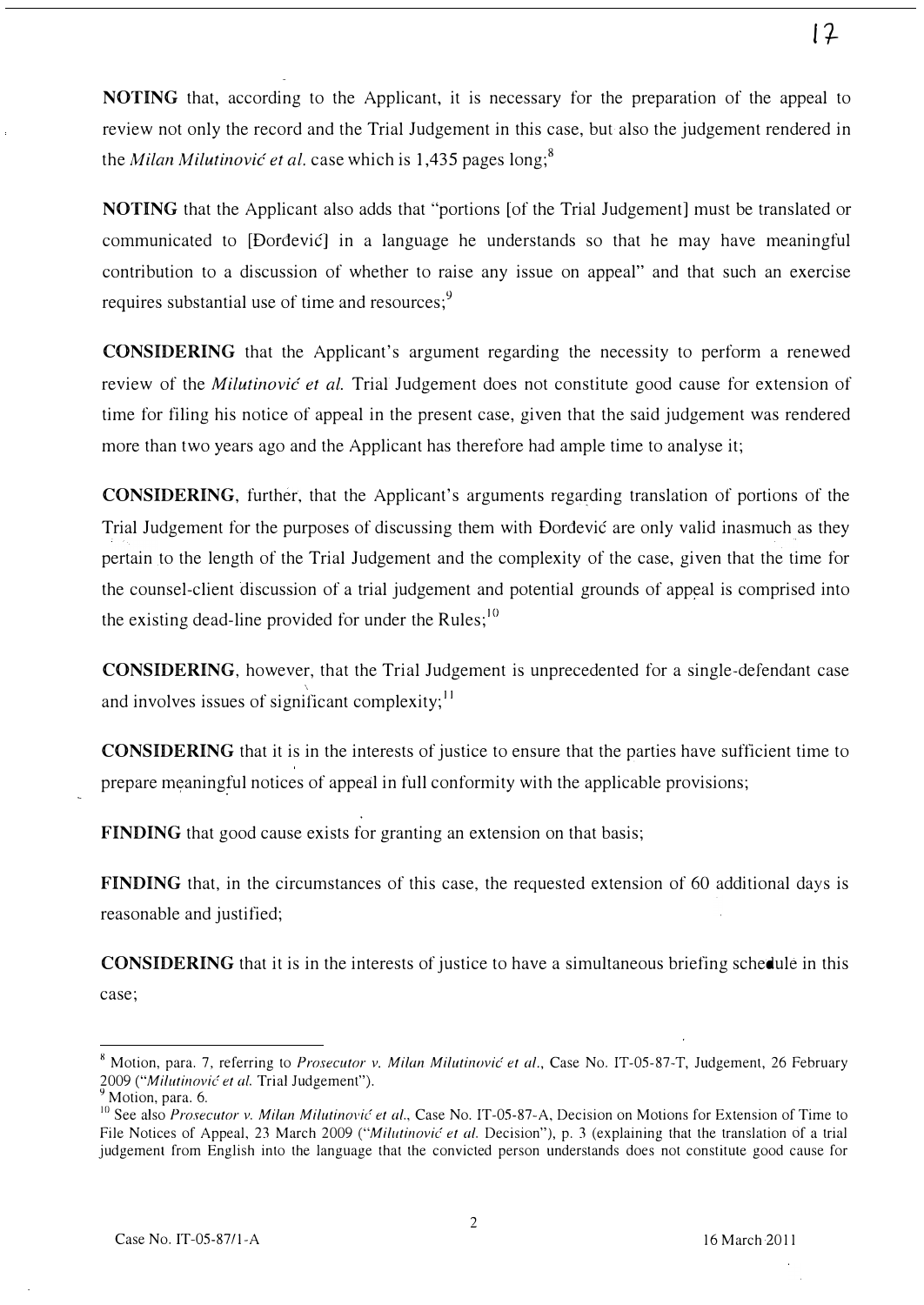NOTING that, according to the Applicant, it is necessary for the preparation of the appeal to review not only the record and the Trial Judgement in this case, but also the judgement rendered in the *Milan Milutinović et al.* case which is 1,435 pages long;<sup>8</sup>

NOTING that the Applicant also adds that "portions [of the Trial Judgement] must be translated or communicated to [Dordevic] in a language he understands so that he may have meaningful contribution to a discussion of whether to raise any issue on appeal" and that such an exercise requires substantial use of time and resources;<sup>9</sup>

CONSIDERING that the Applicant's argument regarding the necessity to perform a renewed review of the *Milutinović et al.* Trial Judgement does not constitute good cause for extension of time for filing his notice of appeal in the present case, given that the said judgement was rendered more than two years ago and the Applicant has therefore had ample time to analyse it;

CONSIDERING, further, that the Applicant's arguments regarding translation of portions of the Trial Judgement for the purposes of discussing them with Dordevic are only valid inasmuch as they pertain to the length of the Trial Judgement and the complexity of the case, given that the time for the counsel-client discussion of a trial judgement and potential grounds of appeal is comprised into the existing dead-line provided for under the Rules; $^{10}$ 

CONSIDERING, however, that the Trial Judgement is unprecedented for a single-defendant case and involves issues of significant complexity;  $\frac{11}{11}$ 

CONSIDERING that it is in the interests of justice to ensure that the parties have sufficient time to prepare meaningful notices of appeal in full conformity with the applicable provisions;

FINDING that good cause exists for granting an extension on that basis;

FINDING that, in the circumstances of this case, the requested extension of 60 additional days is reasonable and justified;

CONSIDERING that it is in the interests of justice to have a simultaneous briefing schedule in this case;

 $8$  Motion, para. 7, referring to *Prosecutor v. Milan Milutinović et al.*, Case No. IT-05-87-T, Judgement, 26 February 2009 ("Milutinović et al. Trial Judgement").

Motion, para. 6.

 $10$  See also *Prosecutor v. Milan Milutinović et al.*, Case No. IT-05-87-A, Decision on Motions for Extension of Time to File Notices of Appeal, 23 March 2009 ("Milutinović et al. Decision"), p. 3 (explaining that the translation of a trial judgement from English into the language that the convicted person understands does not constitute good cause for